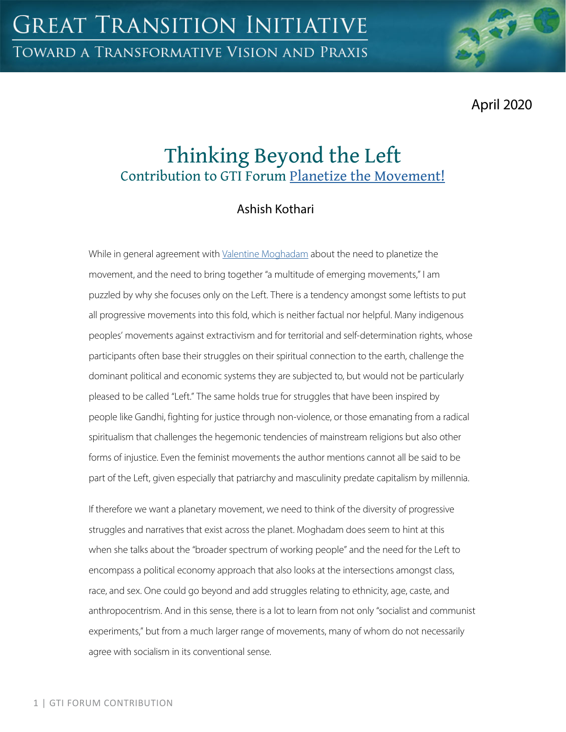April 2020

# Thinking Beyond the Left Contribution to GTI Forum [Planetize the Movement!](https://greattransition.org/gti-forum/planetize-the-movement)

## Ashish Kothari

While in general agreement with [Valentine Moghadam](https://greattransition.org/gti-forum/planetize-movement-moghadam) about the need to planetize the movement, and the need to bring together "a multitude of emerging movements," I am puzzled by why she focuses only on the Left. There is a tendency amongst some leftists to put all progressive movements into this fold, which is neither factual nor helpful. Many indigenous peoples' movements against extractivism and for territorial and self-determination rights, whose participants often base their struggles on their spiritual connection to the earth, challenge the dominant political and economic systems they are subjected to, but would not be particularly pleased to be called "Left." The same holds true for struggles that have been inspired by people like Gandhi, fighting for justice through non-violence, or those emanating from a radical spiritualism that challenges the hegemonic tendencies of mainstream religions but also other forms of injustice. Even the feminist movements the author mentions cannot all be said to be part of the Left, given especially that patriarchy and masculinity predate capitalism by millennia.

If therefore we want a planetary movement, we need to think of the diversity of progressive struggles and narratives that exist across the planet. Moghadam does seem to hint at this when she talks about the "broader spectrum of working people" and the need for the Left to encompass a political economy approach that also looks at the intersections amongst class, race, and sex. One could go beyond and add struggles relating to ethnicity, age, caste, and anthropocentrism. And in this sense, there is a lot to learn from not only "socialist and communist experiments," but from a much larger range of movements, many of whom do not necessarily agree with socialism in its conventional sense.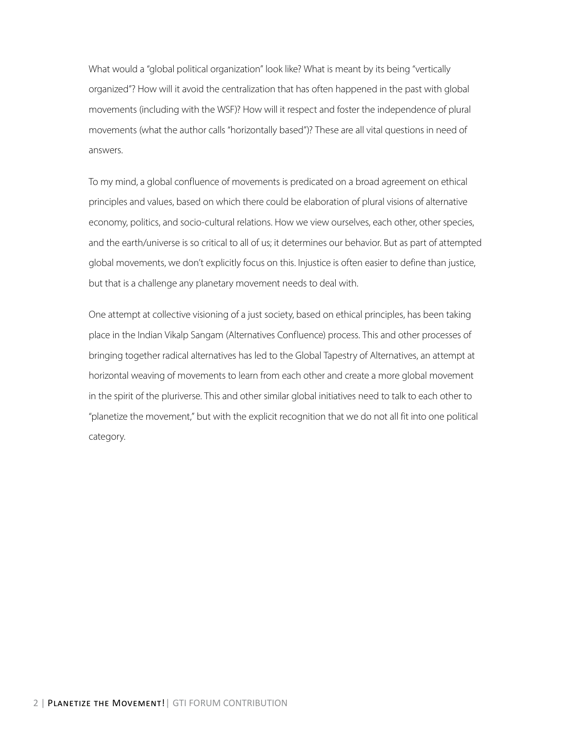What would a "global political organization" look like? What is meant by its being "vertically organized"? How will it avoid the centralization that has often happened in the past with global movements (including with the WSF)? How will it respect and foster the independence of plural movements (what the author calls "horizontally based")? These are all vital questions in need of answers.

To my mind, a global confluence of movements is predicated on a broad agreement on ethical principles and values, based on which there could be elaboration of plural visions of alternative economy, politics, and socio-cultural relations. How we view ourselves, each other, other species, and the earth/universe is so critical to all of us; it determines our behavior. But as part of attempted global movements, we don't explicitly focus on this. Injustice is often easier to define than justice, but that is a challenge any planetary movement needs to deal with.

One attempt at collective visioning of a just society, based on ethical principles, has been taking place in the Indian Vikalp Sangam (Alternatives Confluence) process. This and other processes of bringing together radical alternatives has led to the Global Tapestry of Alternatives, an attempt at horizontal weaving of movements to learn from each other and create a more global movement in the spirit of the pluriverse. This and other similar global initiatives need to talk to each other to "planetize the movement," but with the explicit recognition that we do not all fit into one political category.